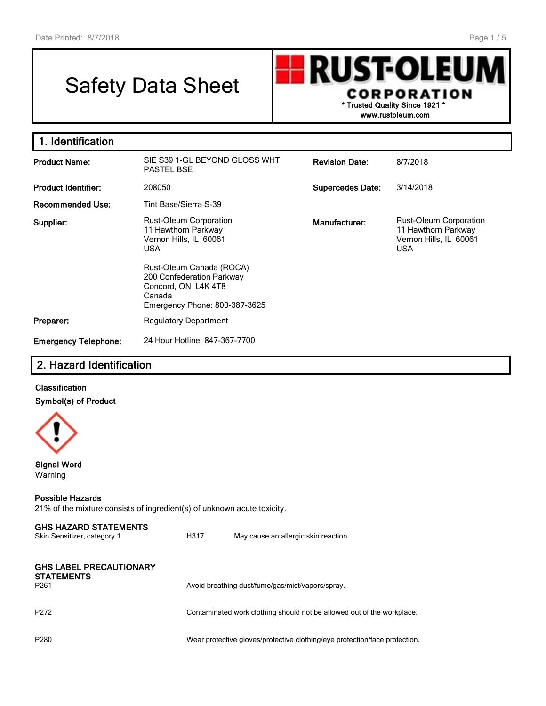# Safety Data Sheet

**RUST-OLEU** I **CORPORATION \* Trusted Quality Since 1921 \***

**www.rustoleum.com**

| 1. Identification           |                                                                                                                         |                         |                                                                                       |
|-----------------------------|-------------------------------------------------------------------------------------------------------------------------|-------------------------|---------------------------------------------------------------------------------------|
| <b>Product Name:</b>        | SIE S39 1-GL BEYOND GLOSS WHT<br><b>PASTEL BSE</b>                                                                      | <b>Revision Date:</b>   | 8/7/2018                                                                              |
| <b>Product Identifier:</b>  | 208050                                                                                                                  | <b>Supercedes Date:</b> | 3/14/2018                                                                             |
| <b>Recommended Use:</b>     | Tint Base/Sierra S-39                                                                                                   |                         |                                                                                       |
| Supplier:                   | <b>Rust-Oleum Corporation</b><br>11 Hawthorn Parkway<br>Vernon Hills, IL 60061<br><b>USA</b>                            | Manufacturer:           | Rust-Oleum Corporation<br>11 Hawthorn Parkway<br>Vernon Hills, IL 60061<br><b>USA</b> |
|                             | Rust-Oleum Canada (ROCA)<br>200 Confederation Parkway<br>Concord, ON L4K 4T8<br>Canada<br>Emergency Phone: 800-387-3625 |                         |                                                                                       |
| Preparer:                   | <b>Regulatory Department</b>                                                                                            |                         |                                                                                       |
| <b>Emergency Telephone:</b> | 24 Hour Hotline: 847-367-7700                                                                                           |                         |                                                                                       |

# **2. Hazard Identification**

**Classification Symbol(s) of Product**



**Signal Word** Warning

#### **Possible Hazards**

21% of the mixture consists of ingredient(s) of unknown acute toxicity.

| <b>GHS HAZARD STATEMENTS</b><br>Skin Sensitizer, category 1             | H317 | May cause an allergic skin reaction.                                       |
|-------------------------------------------------------------------------|------|----------------------------------------------------------------------------|
| <b>GHS LABEL PRECAUTIONARY</b><br><b>STATEMENTS</b><br>P <sub>261</sub> |      | Avoid breathing dust/fume/gas/mist/vapors/spray.                           |
| P <sub>272</sub>                                                        |      | Contaminated work clothing should not be allowed out of the workplace.     |
| P <sub>280</sub>                                                        |      | Wear protective gloves/protective clothing/eye protection/face protection. |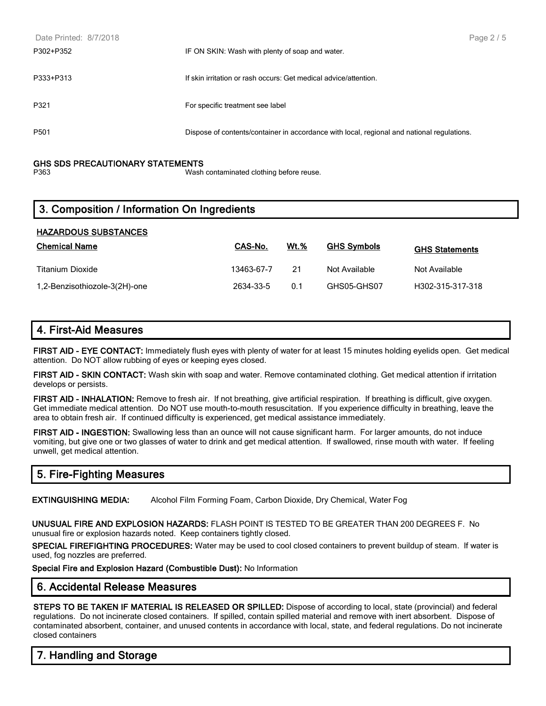| Date Printed: 8/7/2018 |                                                                                            | Page 2 / 5 |
|------------------------|--------------------------------------------------------------------------------------------|------------|
| P302+P352              | IF ON SKIN: Wash with plenty of soap and water.                                            |            |
| P333+P313              | If skin irritation or rash occurs: Get medical advice/attention.                           |            |
| P321                   | For specific treatment see label                                                           |            |
| P <sub>501</sub>       | Dispose of contents/container in accordance with local, regional and national regulations. |            |

# **GHS SDS PRECAUTIONARY STATEMENTS**

Wash contaminated clothing before reuse.

# **3. Composition / Information On Ingredients**

| <b>HAZARDOUS SUBSTANCES</b>   |            |             |                    |                       |
|-------------------------------|------------|-------------|--------------------|-----------------------|
| <b>Chemical Name</b>          | CAS-No.    | <b>Wt.%</b> | <b>GHS Symbols</b> | <b>GHS Statements</b> |
| Titanium Dioxide              | 13463-67-7 | 21          | Not Available      | Not Available         |
| 1,2-Benzisothiozole-3(2H)-one | 2634-33-5  | 0.1         | GHS05-GHS07        | H302-315-317-318      |

## **4. First-Aid Measures**

**FIRST AID - EYE CONTACT:** Immediately flush eyes with plenty of water for at least 15 minutes holding eyelids open. Get medical attention. Do NOT allow rubbing of eyes or keeping eyes closed.

**FIRST AID - SKIN CONTACT:** Wash skin with soap and water. Remove contaminated clothing. Get medical attention if irritation develops or persists.

**FIRST AID - INHALATION:** Remove to fresh air. If not breathing, give artificial respiration. If breathing is difficult, give oxygen. Get immediate medical attention. Do NOT use mouth-to-mouth resuscitation. If you experience difficulty in breathing, leave the area to obtain fresh air. If continued difficulty is experienced, get medical assistance immediately.

**FIRST AID - INGESTION:** Swallowing less than an ounce will not cause significant harm. For larger amounts, do not induce vomiting, but give one or two glasses of water to drink and get medical attention. If swallowed, rinse mouth with water. If feeling unwell, get medical attention.

# **5. Fire-Fighting Measures**

**EXTINGUISHING MEDIA:** Alcohol Film Forming Foam, Carbon Dioxide, Dry Chemical, Water Fog

**UNUSUAL FIRE AND EXPLOSION HAZARDS:** FLASH POINT IS TESTED TO BE GREATER THAN 200 DEGREES F. No unusual fire or explosion hazards noted. Keep containers tightly closed.

**SPECIAL FIREFIGHTING PROCEDURES:** Water may be used to cool closed containers to prevent buildup of steam. If water is used, fog nozzles are preferred.

**Special Fire and Explosion Hazard (Combustible Dust):** No Information

### **6. Accidental Release Measures**

**STEPS TO BE TAKEN IF MATERIAL IS RELEASED OR SPILLED:** Dispose of according to local, state (provincial) and federal regulations. Do not incinerate closed containers. If spilled, contain spilled material and remove with inert absorbent. Dispose of contaminated absorbent, container, and unused contents in accordance with local, state, and federal regulations. Do not incinerate closed containers

# **7. Handling and Storage**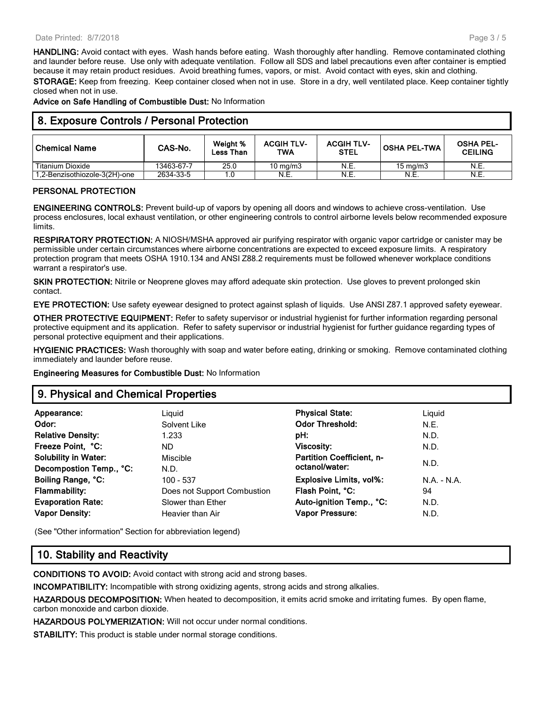#### Date Printed: 8/7/2018

**HANDLING:** Avoid contact with eyes. Wash hands before eating. Wash thoroughly after handling. Remove contaminated clothing and launder before reuse. Use only with adequate ventilation. Follow all SDS and label precautions even after container is emptied because it may retain product residues. Avoid breathing fumes, vapors, or mist. Avoid contact with eyes, skin and clothing.

**STORAGE:** Keep from freezing. Keep container closed when not in use. Store in a dry, well ventilated place. Keep container tightly closed when not in use.

**Advice on Safe Handling of Combustible Dust:** No Information

#### **8. Exposure Controls / Personal Protection**

| ∣Chemical Name                | CAS-No.    | Weight %<br><b>Less Than</b> | <b>ACGIH TLV-</b><br><b>TWA</b> | <b>ACGIH TLV-</b><br><b>STEL</b> | <b>OSHA PEL-TWA</b> | <b>OSHA PEL-</b><br><b>CEILING</b> |
|-------------------------------|------------|------------------------------|---------------------------------|----------------------------------|---------------------|------------------------------------|
| Titanium Dioxide              | 13463-67-7 | 25.0                         | 10 $mq/m3$                      | N.E                              | $15 \text{ mg/m}$   | N.E.                               |
| 1.2-Benzisothiozole-3(2H)-one | 2634-33-5  |                              | N.E.                            | N.E                              | N.E.                | N.E.                               |

#### **PERSONAL PROTECTION**

**ENGINEERING CONTROLS:** Prevent build-up of vapors by opening all doors and windows to achieve cross-ventilation. Use process enclosures, local exhaust ventilation, or other engineering controls to control airborne levels below recommended exposure **limits** 

**RESPIRATORY PROTECTION:** A NIOSH/MSHA approved air purifying respirator with organic vapor cartridge or canister may be permissible under certain circumstances where airborne concentrations are expected to exceed exposure limits. A respiratory protection program that meets OSHA 1910.134 and ANSI Z88.2 requirements must be followed whenever workplace conditions warrant a respirator's use.

**SKIN PROTECTION:** Nitrile or Neoprene gloves may afford adequate skin protection. Use gloves to prevent prolonged skin contact.

**EYE PROTECTION:** Use safety eyewear designed to protect against splash of liquids. Use ANSI Z87.1 approved safety eyewear.

**OTHER PROTECTIVE EQUIPMENT:** Refer to safety supervisor or industrial hygienist for further information regarding personal protective equipment and its application. Refer to safety supervisor or industrial hygienist for further guidance regarding types of personal protective equipment and their applications.

**HYGIENIC PRACTICES:** Wash thoroughly with soap and water before eating, drinking or smoking. Remove contaminated clothing immediately and launder before reuse.

**Engineering Measures for Combustible Dust:** No Information

### **9. Physical and Chemical Properties**

| Appearance:                 | Liguid                      | <b>Physical State:</b>           | Liquid      |  |
|-----------------------------|-----------------------------|----------------------------------|-------------|--|
| Odor:                       | Solvent Like                | <b>Odor Threshold:</b>           | N.E.        |  |
| <b>Relative Density:</b>    | 1.233                       | pH:                              | N.D.        |  |
| Freeze Point, °C:           | ND.                         | <b>Viscosity:</b>                | N.D.        |  |
| <b>Solubility in Water:</b> | Miscible                    | <b>Partition Coefficient, n-</b> |             |  |
| Decompostion Temp., °C:     | N.D.                        | octanol/water:                   | N.D.        |  |
| Boiling Range, °C:          | 100 - 537                   | <b>Explosive Limits, vol%:</b>   | N.A. - N.A. |  |
| <b>Flammability:</b>        | Does not Support Combustion | Flash Point, °C:                 | 94          |  |
| <b>Evaporation Rate:</b>    | Slower than Ether           | Auto-ignition Temp., °C:         | N.D.        |  |
| <b>Vapor Density:</b>       | Heavier than Air            | Vapor Pressure:                  | N.D.        |  |
|                             |                             |                                  |             |  |

(See "Other information" Section for abbreviation legend)

### **10. Stability and Reactivity**

**CONDITIONS TO AVOID:** Avoid contact with strong acid and strong bases.

**INCOMPATIBILITY:** Incompatible with strong oxidizing agents, strong acids and strong alkalies.

**HAZARDOUS DECOMPOSITION:** When heated to decomposition, it emits acrid smoke and irritating fumes. By open flame, carbon monoxide and carbon dioxide.

**HAZARDOUS POLYMERIZATION:** Will not occur under normal conditions.

**STABILITY:** This product is stable under normal storage conditions.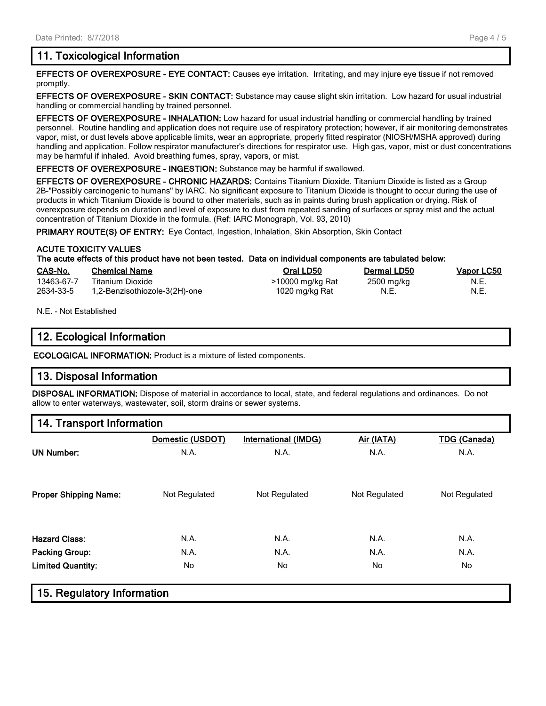# **11. Toxicological Information**

**EFFECTS OF OVEREXPOSURE - EYE CONTACT:** Causes eye irritation. Irritating, and may injure eye tissue if not removed promptly.

**EFFECTS OF OVEREXPOSURE - SKIN CONTACT:** Substance may cause slight skin irritation. Low hazard for usual industrial handling or commercial handling by trained personnel.

**EFFECTS OF OVEREXPOSURE - INHALATION:** Low hazard for usual industrial handling or commercial handling by trained personnel. Routine handling and application does not require use of respiratory protection; however, if air monitoring demonstrates vapor, mist, or dust levels above applicable limits, wear an appropriate, properly fitted respirator (NIOSH/MSHA approved) during handling and application. Follow respirator manufacturer's directions for respirator use. High gas, vapor, mist or dust concentrations may be harmful if inhaled. Avoid breathing fumes, spray, vapors, or mist.

**EFFECTS OF OVEREXPOSURE - INGESTION:** Substance may be harmful if swallowed.

**EFFECTS OF OVEREXPOSURE - CHRONIC HAZARDS:** Contains Titanium Dioxide. Titanium Dioxide is listed as a Group 2B-"Possibly carcinogenic to humans" by IARC. No significant exposure to Titanium Dioxide is thought to occur during the use of products in which Titanium Dioxide is bound to other materials, such as in paints during brush application or drying. Risk of overexposure depends on duration and level of exposure to dust from repeated sanding of surfaces or spray mist and the actual concentration of Titanium Dioxide in the formula. (Ref: IARC Monograph, Vol. 93, 2010)

**PRIMARY ROUTE(S) OF ENTRY:** Eye Contact, Ingestion, Inhalation, Skin Absorption, Skin Contact

#### **ACUTE TOXICITY VALUES**

**The acute effects of this product have not been tested. Data on individual components are tabulated below:**

| CAS-No.    | <b>Chemical Name</b>          | Oral LD50        | Dermal LD50 | Vapor LC50 |
|------------|-------------------------------|------------------|-------------|------------|
| 13463-67-7 | Titanium Dioxide              | >10000 mg/kg Rat | 2500 mg/kg  | N.E.       |
| 2634-33-5  | 1,2-Benzisothiozole-3(2H)-one | 1020 mg/kg Rat   | N.E.        | N.E.       |

N.E. - Not Established

### **12. Ecological Information**

**ECOLOGICAL INFORMATION:** Product is a mixture of listed components.

# **13. Disposal Information**

**DISPOSAL INFORMATION:** Dispose of material in accordance to local, state, and federal regulations and ordinances. Do not allow to enter waterways, wastewater, soil, storm drains or sewer systems.

### **14. Transport Information**

|                              | Domestic (USDOT) | <b>International (IMDG)</b> | Air (IATA)    | <b>TDG</b> (Canada) |
|------------------------------|------------------|-----------------------------|---------------|---------------------|
| <b>UN Number:</b>            | N.A.             | N.A.                        | N.A.          | N.A.                |
| <b>Proper Shipping Name:</b> | Not Regulated    | Not Regulated               | Not Regulated | Not Regulated       |
| <b>Hazard Class:</b>         | N.A.             | N.A.                        | N.A.          | N.A.                |
| <b>Packing Group:</b>        | N.A.             | N.A.                        | N.A.          | N.A.                |
| <b>Limited Quantity:</b>     | No               | No                          | No            | No                  |